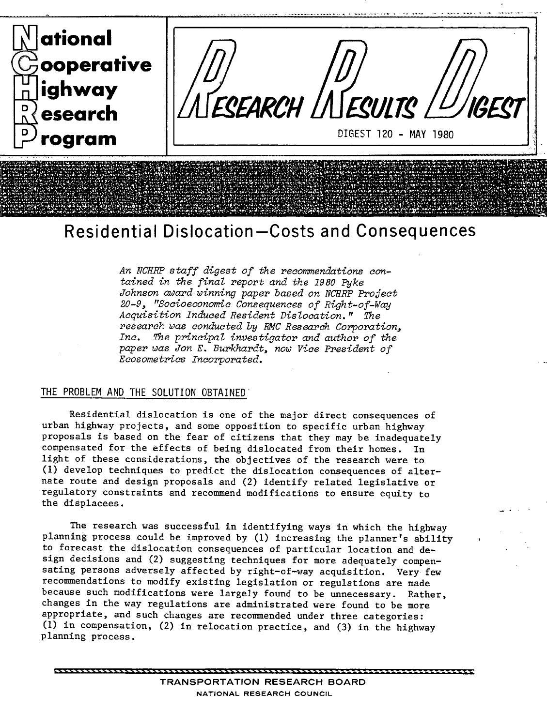

# **Residential Dislocation—Costs and Consequences**

An NCFIRP staff digest *of* the recommendations contained in the final report and the 1980 Pyke Johnson award winning paper based on NCHRP Project 20-9, "Socioecononnc Consequences of Right-of-Way Acquisition Induced Resident Dislocation." The research was conducted by RMC Research Corporation, Inc. The principal investigator and author *of* the paper was Jon E. Burkhardt, now Vice President *of*  Ecosometrics Incorporated.

## THE PROBLEM AND THE SOLUTION OBTAINED

Residential dislocation is one of the major direct consequences of urban highway projects, and some opposition to specific urban highway proposals is based on the fear of citizens that they may be inadequately compensated for the effects of being dislocated from their homes. In light of these considerations, the objectives of the research were to (1) develop techniques to predict the dislocation consequences of alternate route and design proposals and (2) identify related legislative or regulatory constraints and recommend modifications to ensure equity to the displacees.

The research was successful in identifying ways in which the highway planning process could be improved by (1) increasing the planner's ability to forecast the dislocation consequences of particular location and design decisions and (2) suggesting techniques for more adequately compensating persons adversely affected by right-of-way acquisition. Very few recommendations to modify existing legislation or regulations are made because such modifications were largely found to be unnecessary. Rather, changes in the way regulations are administrated were found to be more appropriate, and such changes are recommended under three categories: (1) in compensation, (2) in relocation practice, and (3) in the highway planning process.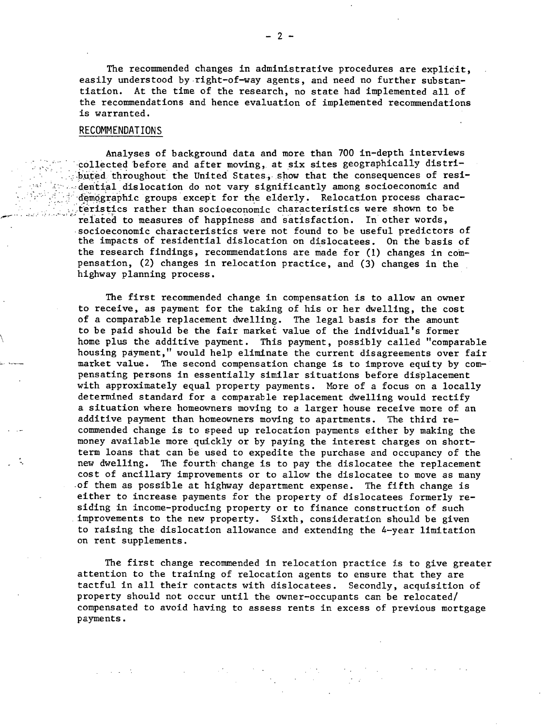The recommended changes in administrative procedures are explicit, easily understood by right-of-way agents, and need no further substantiation. At the time of the research, no state had implemented all of the recommendations and hence evaluation of implemented recommendations is warranted.

### RECOMMENDATIONS

Analyses of background data and more than 700 in-depth interviews collected before and after moving,, at **six** sites geographically distributed throughout the United States, show that the consequences of residential dislocation do not vary significantly among socioeconomic and demographic groups except for the elderly. Relocation process characteristics rather than socioeconomic characteristics were shown to be related to measures of happiness and satisfaction. In other words, socioeconomic characteristics were not found to be useful predictors of the impacts of residential dislocation on dislocatees. On the basis of the research findings, recommendations are made for (1) changes in compensation, (2) changes in relocation practice, and (3) changes in the highway planning process.

The first recommended change in compensation is to allow an owner to receive, as payment for the taking of his or her dwelling, the cost of a comparable replacement dwelling. The legal basis for the amount to be paid should be the fair market value of the individual's former home plus the additive payment. This payment, possibly called "comparable housing payment," would help eliminate the current disagreements over fair market value. The second compensation change is to improve equity by compensating persons in essentially similar situations before displacement with approximately equal property payments. More of a focus on a locally determined standard for a comparable replacement dwelling would rectify a situation where homeowners moving to a larger house receive more of an additive payment than homeowners moving to apartments. The third recommended change is to speed up relocation payments either by making the money available more quickly or by paying the interest charges on shortterni loans that can be used to expedite the purchase and occupancy of the new dwelling. The fourth change is to pay the dislocatee the replacement cost of ancillary improvements or to allow the dislocatee to move as many of them as possible at highway department expense. The fifth change is either to increase payments for the property of dislocatees formerly residing in income-producing property or to finance construction of such improvements to the new property. Sixth, consideration should be given to raising the dislocation allowance and extending the 4-year limitation on rent supplements.

The first change recommended in relocation practice is to give greater attention to the training of relocation agents to ensure that they are tactful in all their contacts with dislocatees. Secondly, acquisition of property should not occur until the owner-occupants can be relocated/ compensated to avoid having to assess rents in excess of previous mortgage payments.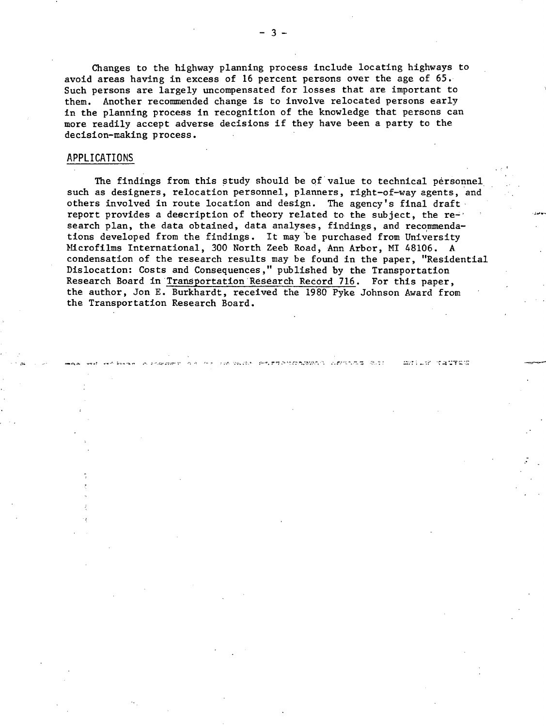Changes to the highway planning process include locating highways to avoid areas having in excess of 16 percent persons over the age of 65. Such persons are largely uncompensated for losses that are important to them. Another recommended change is to involve relocated persons early in the planning process in recognition of the knowledge that persons can more readily accept adverse decisions if they have been a party to the decision-making process.

### APPLICATIONS

The findings from this study should be of value to technical personnel such as designers, relocation personnel, planners, right-of-way agents, and others involved in route location and design. The agency's final draft report provides a description of theory related to the subject, the research plan, the data obtained, data analyses, findings, and recommendations developed from the findings. It may be purchased from University Microfilms International, 300 North Zeeb Road, Ann Arbor, MI 48106. A. condensation of the research results may be found in the paper, "Residential Dislocation: Costs and Consequences," published by the Transportation Research Board in Transportation Research Record 716. For this paper, the author, Jon E. Burkhardt, received the 1980 Pyke Johnson Award from the Transportation Research Board.

.,-.. .... -•4y.: